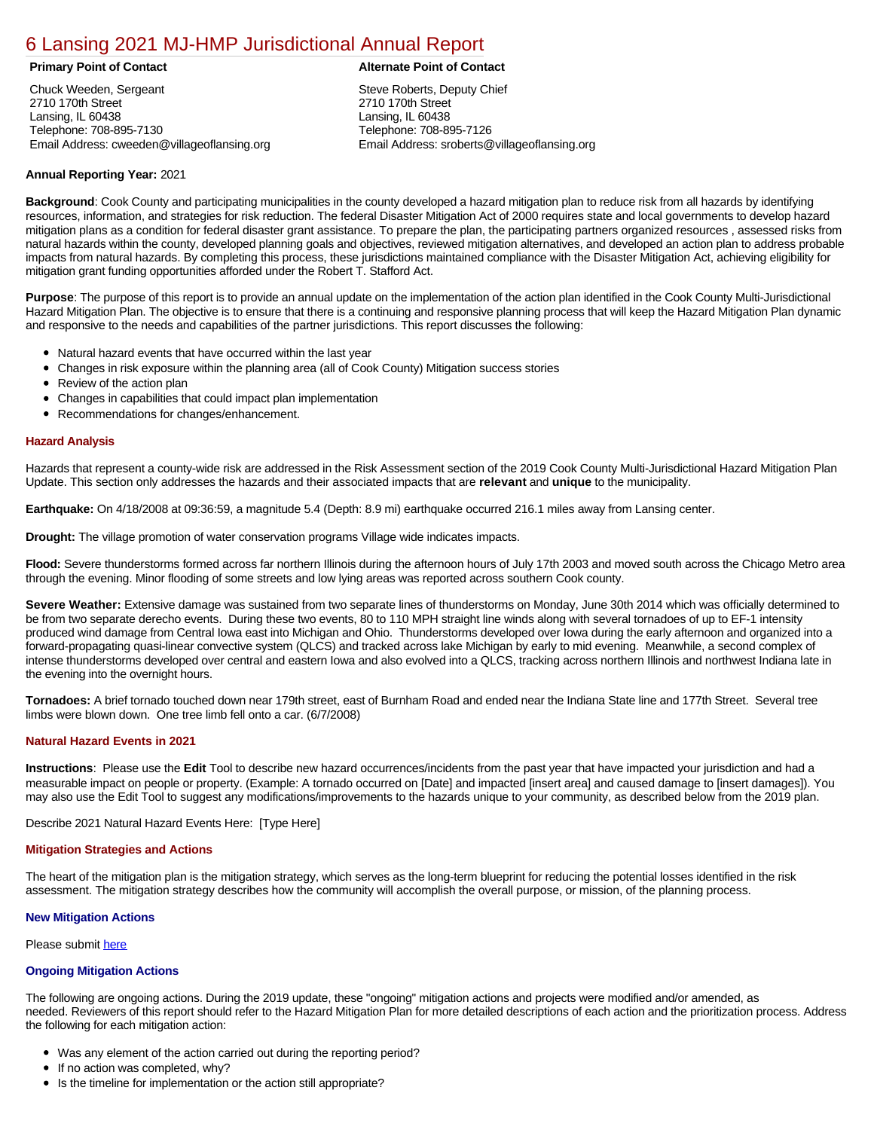# [6 Lansing 2021 MJ-HMP Jurisdictional Annual Report](https://lansing.isc-cemp.com/Cemp/Details?id=8322845)

Chuck Weeden, Sergeant 2710 170th Street Lansing, IL 60438 Telephone: 708-895-7130 Email Address: cweeden@villageoflansing.org

# **Primary Point of Contact Alternate Point of Contact**

Steve Roberts, Deputy Chief 2710 170th Street Lansing, IL 60438 Telephone: 708-895-7126 Email Address: sroberts@villageoflansing.org

# **Annual Reporting Year:** 2021

**Background**: Cook County and participating municipalities in the county developed a hazard mitigation plan to reduce risk from all hazards by identifying resources, information, and strategies for risk reduction. The federal Disaster Mitigation Act of 2000 requires state and local governments to develop hazard mitigation plans as a condition for federal disaster grant assistance. To prepare the plan, the participating partners organized resources , assessed risks from natural hazards within the county, developed planning goals and objectives, reviewed mitigation alternatives, and developed an action plan to address probable impacts from natural hazards. By completing this process, these jurisdictions maintained compliance with the Disaster Mitigation Act, achieving eligibility for mitigation grant funding opportunities afforded under the Robert T. Stafford Act.

**Purpose**: The purpose of this report is to provide an annual update on the implementation of the action plan identified in the Cook County Multi-Jurisdictional Hazard Mitigation Plan. The objective is to ensure that there is a continuing and responsive planning process that will keep the Hazard Mitigation Plan dynamic and responsive to the needs and capabilities of the partner jurisdictions. This report discusses the following:

- Natural hazard events that have occurred within the last year
- $\bullet$ Changes in risk exposure within the planning area (all of Cook County) Mitigation success stories
- Review of the action plan  $\bullet$
- $\bullet$ Changes in capabilities that could impact plan implementation
- Recommendations for changes/enhancement.  $\bullet$

### **Hazard Analysis**

Hazards that represent a county-wide risk are addressed in the Risk Assessment section of the 2019 Cook County Multi-Jurisdictional Hazard Mitigation Plan Update. This section only addresses the hazards and their associated impacts that are **relevant** and **unique** to the municipality.

**Earthquake:** On 4/18/2008 at 09:36:59, a magnitude 5.4 (Depth: 8.9 mi) earthquake occurred 216.1 miles away from Lansing center.

**Drought:** The village promotion of water conservation programs Village wide indicates impacts.

**Flood:** Severe thunderstorms formed across far northern Illinois during the afternoon hours of July 17th 2003 and moved south across the Chicago Metro area through the evening. Minor flooding of some streets and low lying areas was reported across southern Cook county.

**Severe Weather:** Extensive damage was sustained from two separate lines of thunderstorms on Monday, June 30th 2014 which was officially determined to be from two separate derecho events. During these two events, 80 to 110 MPH straight line winds along with several tornadoes of up to EF-1 intensity produced wind damage from Central Iowa east into Michigan and Ohio. Thunderstorms developed over Iowa during the early afternoon and organized into a forward-propagating quasi-linear convective system (QLCS) and tracked across lake Michigan by early to mid evening. Meanwhile, a second complex of intense thunderstorms developed over central and eastern Iowa and also evolved into a QLCS, tracking across northern Illinois and northwest Indiana late in the evening into the overnight hours.

**Tornadoes:** A brief tornado touched down near 179th street, east of Burnham Road and ended near the Indiana State line and 177th Street. Several tree limbs were blown down. One tree limb fell onto a car. (6/7/2008)

# **Natural Hazard Events in 2021**

**Instructions**: Please use the **Edit** Tool to describe new hazard occurrences/incidents from the past year that have impacted your jurisdiction and had a measurable impact on people or property. (Example: A tornado occurred on [Date] and impacted [insert area] and caused damage to [insert damages]). You may also use the Edit Tool to suggest any modifications/improvements to the hazards unique to your community, as described below from the 2019 plan.

Describe 2021 Natural Hazard Events Here: [Type Here]

#### **Mitigation Strategies and Actions**

The heart of the mitigation plan is the mitigation strategy, which serves as the long-term blueprint for reducing the potential losses identified in the risk assessment. The mitigation strategy describes how the community will accomplish the overall purpose, or mission, of the planning process.

# **New Mitigation Actions**

Please submit [here](https://integratedsolutions.wufoo.com/forms/mg21jvf0jn639o/)

# **Ongoing Mitigation Actions**

The following are ongoing actions. During the 2019 update, these "ongoing" mitigation actions and projects were modified and/or amended, as needed. Reviewers of this report should refer to the Hazard Mitigation Plan for more detailed descriptions of each action and the prioritization process. Address the following for each mitigation action:

- Was any element of the action carried out during the reporting period?
- If no action was completed, why?
- Is the timeline for implementation or the action still appropriate?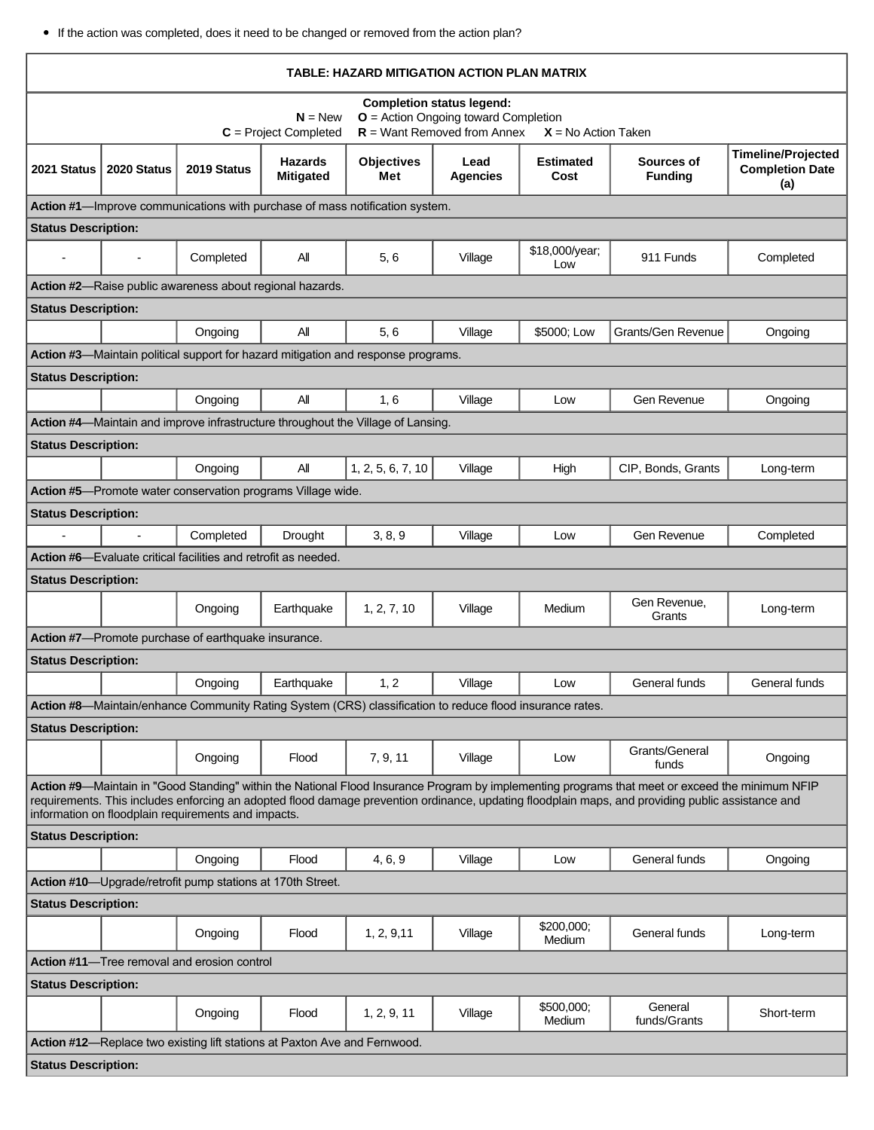If the action was completed, does it need to be changed or removed from the action plan?

| TABLE: HAZARD MITIGATION ACTION PLAN MATRIX                                                                                                                                                                                                                                                                                                                 |             |                                                                       |                                                                           |                                                                                                          |                         |                          |                              |                                                            |  |
|-------------------------------------------------------------------------------------------------------------------------------------------------------------------------------------------------------------------------------------------------------------------------------------------------------------------------------------------------------------|-------------|-----------------------------------------------------------------------|---------------------------------------------------------------------------|----------------------------------------------------------------------------------------------------------|-------------------------|--------------------------|------------------------------|------------------------------------------------------------|--|
| <b>Completion status legend:</b><br>$N = New$<br>$O =$ Action Ongoing toward Completion<br>$R =$ Want Removed from Annex<br>$C = Project Completed$<br>$X = No$ Action Taken                                                                                                                                                                                |             |                                                                       |                                                                           |                                                                                                          |                         |                          |                              |                                                            |  |
| 2021 Status                                                                                                                                                                                                                                                                                                                                                 | 2020 Status | 2019 Status                                                           | <b>Hazards</b><br><b>Mitigated</b>                                        | <b>Objectives</b><br>Met                                                                                 | Lead<br><b>Agencies</b> | <b>Estimated</b><br>Cost | Sources of<br><b>Funding</b> | <b>Timeline/Projected</b><br><b>Completion Date</b><br>(a) |  |
|                                                                                                                                                                                                                                                                                                                                                             |             |                                                                       |                                                                           | Action #1-Improve communications with purchase of mass notification system.                              |                         |                          |                              |                                                            |  |
| <b>Status Description:</b>                                                                                                                                                                                                                                                                                                                                  |             |                                                                       |                                                                           |                                                                                                          |                         |                          |                              |                                                            |  |
| $\blacksquare$                                                                                                                                                                                                                                                                                                                                              |             | Completed                                                             | All                                                                       | 5, 6                                                                                                     | Village                 | \$18,000/year;<br>Low    | 911 Funds                    | Completed                                                  |  |
|                                                                                                                                                                                                                                                                                                                                                             |             |                                                                       | Action #2-Raise public awareness about regional hazards.                  |                                                                                                          |                         |                          |                              |                                                            |  |
| <b>Status Description:</b>                                                                                                                                                                                                                                                                                                                                  |             |                                                                       |                                                                           |                                                                                                          |                         |                          |                              |                                                            |  |
|                                                                                                                                                                                                                                                                                                                                                             |             | Ongoing                                                               | All                                                                       | 5, 6                                                                                                     | Village                 | \$5000; Low              | <b>Grants/Gen Revenue</b>    | Ongoing                                                    |  |
| Action #3—Maintain political support for hazard mitigation and response programs.                                                                                                                                                                                                                                                                           |             |                                                                       |                                                                           |                                                                                                          |                         |                          |                              |                                                            |  |
| <b>Status Description:</b>                                                                                                                                                                                                                                                                                                                                  |             |                                                                       |                                                                           |                                                                                                          |                         |                          |                              |                                                            |  |
|                                                                                                                                                                                                                                                                                                                                                             |             | Ongoing                                                               | All                                                                       | 1, 6                                                                                                     | Village                 | Low                      | Gen Revenue                  | Ongoing                                                    |  |
|                                                                                                                                                                                                                                                                                                                                                             |             |                                                                       |                                                                           | Action #4-Maintain and improve infrastructure throughout the Village of Lansing.                         |                         |                          |                              |                                                            |  |
| <b>Status Description:</b>                                                                                                                                                                                                                                                                                                                                  |             |                                                                       |                                                                           |                                                                                                          |                         |                          |                              |                                                            |  |
|                                                                                                                                                                                                                                                                                                                                                             |             | Ongoing                                                               | All                                                                       | 1, 2, 5, 6, 7, 10                                                                                        | Village                 | High                     | CIP, Bonds, Grants           | Long-term                                                  |  |
|                                                                                                                                                                                                                                                                                                                                                             |             |                                                                       | Action #5-Promote water conservation programs Village wide.               |                                                                                                          |                         |                          |                              |                                                            |  |
| <b>Status Description:</b>                                                                                                                                                                                                                                                                                                                                  |             |                                                                       |                                                                           |                                                                                                          |                         |                          |                              |                                                            |  |
| $\overline{a}$                                                                                                                                                                                                                                                                                                                                              |             | Completed                                                             | Drought                                                                   | 3, 8, 9                                                                                                  | Village                 | Low                      | Gen Revenue                  | Completed                                                  |  |
|                                                                                                                                                                                                                                                                                                                                                             |             | <b>Action #6—Evaluate critical facilities and retrofit as needed.</b> |                                                                           |                                                                                                          |                         |                          |                              |                                                            |  |
| <b>Status Description:</b>                                                                                                                                                                                                                                                                                                                                  |             |                                                                       |                                                                           |                                                                                                          |                         |                          | Gen Revenue,                 |                                                            |  |
|                                                                                                                                                                                                                                                                                                                                                             |             | Ongoing                                                               | Earthquake                                                                | 1, 2, 7, 10                                                                                              | Village                 | Medium                   | Grants                       | Long-term                                                  |  |
|                                                                                                                                                                                                                                                                                                                                                             |             | Action #7-Promote purchase of earthquake insurance.                   |                                                                           |                                                                                                          |                         |                          |                              |                                                            |  |
| <b>Status Description:</b>                                                                                                                                                                                                                                                                                                                                  |             |                                                                       |                                                                           |                                                                                                          |                         |                          |                              |                                                            |  |
|                                                                                                                                                                                                                                                                                                                                                             |             | Ongoing                                                               | Earthquake                                                                | 1, 2                                                                                                     | Village                 | Low                      | General funds                | General funds                                              |  |
|                                                                                                                                                                                                                                                                                                                                                             |             |                                                                       |                                                                           | Action #8—Maintain/enhance Community Rating System (CRS) classification to reduce flood insurance rates. |                         |                          |                              |                                                            |  |
| <b>Status Description:</b>                                                                                                                                                                                                                                                                                                                                  |             |                                                                       |                                                                           |                                                                                                          |                         |                          |                              |                                                            |  |
|                                                                                                                                                                                                                                                                                                                                                             |             | Ongoing                                                               | Flood                                                                     | 7, 9, 11                                                                                                 | Village                 | Low                      | Grants/General<br>funds      | Ongoing                                                    |  |
| Action #9-Maintain in "Good Standing" within the National Flood Insurance Program by implementing programs that meet or exceed the minimum NFIP<br>requirements. This includes enforcing an adopted flood damage prevention ordinance, updating floodplain maps, and providing public assistance and<br>information on floodplain requirements and impacts. |             |                                                                       |                                                                           |                                                                                                          |                         |                          |                              |                                                            |  |
| <b>Status Description:</b>                                                                                                                                                                                                                                                                                                                                  |             |                                                                       |                                                                           |                                                                                                          |                         |                          |                              |                                                            |  |
|                                                                                                                                                                                                                                                                                                                                                             |             | Ongoing                                                               | Flood                                                                     | 4, 6, 9                                                                                                  | Village                 | Low                      | General funds                | Ongoing                                                    |  |
|                                                                                                                                                                                                                                                                                                                                                             |             | Action #10-Upgrade/retrofit pump stations at 170th Street.            |                                                                           |                                                                                                          |                         |                          |                              |                                                            |  |
| <b>Status Description:</b>                                                                                                                                                                                                                                                                                                                                  |             |                                                                       |                                                                           |                                                                                                          |                         |                          |                              |                                                            |  |
|                                                                                                                                                                                                                                                                                                                                                             |             | Ongoing                                                               | Flood                                                                     | 1, 2, 9, 11                                                                                              | Village                 | \$200,000;<br>Medium     | General funds                | Long-term                                                  |  |
|                                                                                                                                                                                                                                                                                                                                                             |             | Action #11-Tree removal and erosion control                           |                                                                           |                                                                                                          |                         |                          |                              |                                                            |  |
| <b>Status Description:</b>                                                                                                                                                                                                                                                                                                                                  |             |                                                                       |                                                                           |                                                                                                          |                         |                          |                              |                                                            |  |
|                                                                                                                                                                                                                                                                                                                                                             |             | Ongoing                                                               | Flood                                                                     | 1, 2, 9, 11                                                                                              | Village                 | \$500,000;<br>Medium     | General<br>funds/Grants      | Short-term                                                 |  |
|                                                                                                                                                                                                                                                                                                                                                             |             |                                                                       | Action #12-Replace two existing lift stations at Paxton Ave and Fernwood. |                                                                                                          |                         |                          |                              |                                                            |  |
| <b>Status Description:</b>                                                                                                                                                                                                                                                                                                                                  |             |                                                                       |                                                                           |                                                                                                          |                         |                          |                              |                                                            |  |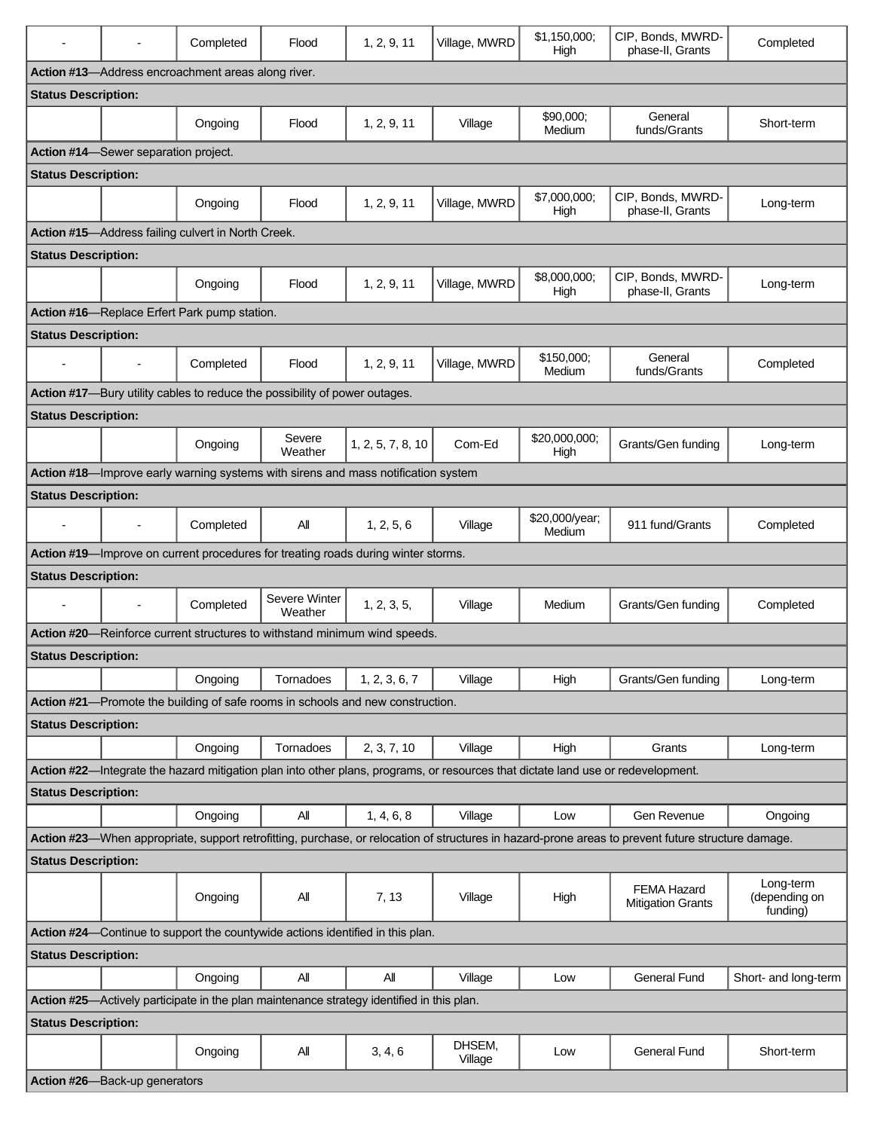|                                                                                                                                                    |                                      | Completed                                          | Flood                                                                      | 1, 2, 9, 11                                                                               | Village, MWRD     | \$1,150,000:<br>High     | CIP, Bonds, MWRD-<br>phase-II, Grants          | Completed                              |  |  |
|----------------------------------------------------------------------------------------------------------------------------------------------------|--------------------------------------|----------------------------------------------------|----------------------------------------------------------------------------|-------------------------------------------------------------------------------------------|-------------------|--------------------------|------------------------------------------------|----------------------------------------|--|--|
|                                                                                                                                                    |                                      | Action #13-Address encroachment areas along river. |                                                                            |                                                                                           |                   |                          |                                                |                                        |  |  |
| <b>Status Description:</b>                                                                                                                         |                                      |                                                    |                                                                            |                                                                                           |                   |                          |                                                |                                        |  |  |
|                                                                                                                                                    |                                      | Ongoing                                            | Flood                                                                      | 1, 2, 9, 11                                                                               | Village           | \$90,000:<br>Medium      | General<br>funds/Grants                        | Short-term                             |  |  |
|                                                                                                                                                    | Action #14-Sewer separation project. |                                                    |                                                                            |                                                                                           |                   |                          |                                                |                                        |  |  |
| <b>Status Description:</b>                                                                                                                         |                                      |                                                    |                                                                            |                                                                                           |                   |                          |                                                |                                        |  |  |
|                                                                                                                                                    |                                      | Ongoing                                            | Flood                                                                      | 1, 2, 9, 11                                                                               | Village, MWRD     | \$7,000,000;<br>High     | CIP, Bonds, MWRD-<br>phase-II, Grants          | Long-term                              |  |  |
| Action #15-Address failing culvert in North Creek.                                                                                                 |                                      |                                                    |                                                                            |                                                                                           |                   |                          |                                                |                                        |  |  |
| <b>Status Description:</b>                                                                                                                         |                                      |                                                    |                                                                            |                                                                                           |                   |                          |                                                |                                        |  |  |
|                                                                                                                                                    |                                      | Ongoing                                            | Flood                                                                      | 1, 2, 9, 11                                                                               | Village, MWRD     | \$8,000,000;<br>High     | CIP, Bonds, MWRD-<br>phase-II, Grants          | Long-term                              |  |  |
|                                                                                                                                                    |                                      | Action #16-Replace Erfert Park pump station.       |                                                                            |                                                                                           |                   |                          |                                                |                                        |  |  |
| <b>Status Description:</b>                                                                                                                         |                                      |                                                    |                                                                            |                                                                                           |                   |                          |                                                |                                        |  |  |
| $\overline{\phantom{a}}$                                                                                                                           | $\blacksquare$                       | Completed                                          | Flood                                                                      | 1, 2, 9, 11                                                                               | Village, MWRD     | \$150,000;<br>Medium     | General<br>funds/Grants                        | Completed                              |  |  |
|                                                                                                                                                    |                                      |                                                    | Action #17-Bury utility cables to reduce the possibility of power outages. |                                                                                           |                   |                          |                                                |                                        |  |  |
| <b>Status Description:</b>                                                                                                                         |                                      |                                                    |                                                                            |                                                                                           |                   |                          |                                                |                                        |  |  |
|                                                                                                                                                    |                                      | Ongoing                                            | Severe<br>Weather                                                          | 1, 2, 5, 7, 8, 10                                                                         | Com-Ed            | \$20,000,000;<br>High    | Grants/Gen funding                             | Long-term                              |  |  |
|                                                                                                                                                    |                                      |                                                    |                                                                            | Action #18-Improve early warning systems with sirens and mass notification system         |                   |                          |                                                |                                        |  |  |
| <b>Status Description:</b>                                                                                                                         |                                      |                                                    |                                                                            |                                                                                           |                   |                          |                                                |                                        |  |  |
|                                                                                                                                                    | $\overline{a}$                       | Completed                                          | All                                                                        | 1, 2, 5, 6                                                                                | Village           | \$20,000/year;<br>Medium | 911 fund/Grants                                | Completed                              |  |  |
|                                                                                                                                                    |                                      |                                                    |                                                                            | Action #19—Improve on current procedures for treating roads during winter storms.         |                   |                          |                                                |                                        |  |  |
| <b>Status Description:</b>                                                                                                                         |                                      |                                                    |                                                                            |                                                                                           |                   |                          |                                                |                                        |  |  |
| $\overline{a}$                                                                                                                                     |                                      | Completed                                          | Severe Winter<br>Weather                                                   | 1, 2, 3, 5,                                                                               | Village           | Medium                   | Grants/Gen funding                             | Completed                              |  |  |
|                                                                                                                                                    |                                      |                                                    |                                                                            | Action #20-Reinforce current structures to withstand minimum wind speeds.                 |                   |                          |                                                |                                        |  |  |
| <b>Status Description:</b>                                                                                                                         |                                      |                                                    |                                                                            |                                                                                           |                   |                          |                                                |                                        |  |  |
|                                                                                                                                                    |                                      | Ongoing                                            | Tornadoes                                                                  | 1, 2, 3, 6, 7                                                                             | Village           | High                     | Grants/Gen funding                             | Long-term                              |  |  |
|                                                                                                                                                    |                                      |                                                    |                                                                            | Action #21-Promote the building of safe rooms in schools and new construction.            |                   |                          |                                                |                                        |  |  |
| <b>Status Description:</b>                                                                                                                         |                                      |                                                    |                                                                            |                                                                                           |                   |                          |                                                |                                        |  |  |
|                                                                                                                                                    |                                      | Ongoing                                            | Tornadoes                                                                  | 2, 3, 7, 10                                                                               | Village           | High                     | Grants                                         | Long-term                              |  |  |
| Action #22-Integrate the hazard mitigation plan into other plans, programs, or resources that dictate land use or redevelopment.                   |                                      |                                                    |                                                                            |                                                                                           |                   |                          |                                                |                                        |  |  |
| <b>Status Description:</b>                                                                                                                         |                                      |                                                    |                                                                            |                                                                                           |                   |                          |                                                |                                        |  |  |
|                                                                                                                                                    |                                      | Ongoing                                            | All                                                                        | 1, 4, 6, 8                                                                                | Village           | Low                      | Gen Revenue                                    | Ongoing                                |  |  |
| Action #23—When appropriate, support retrofitting, purchase, or relocation of structures in hazard-prone areas to prevent future structure damage. |                                      |                                                    |                                                                            |                                                                                           |                   |                          |                                                |                                        |  |  |
| <b>Status Description:</b>                                                                                                                         |                                      |                                                    |                                                                            |                                                                                           |                   |                          |                                                |                                        |  |  |
|                                                                                                                                                    |                                      | Ongoing                                            | All                                                                        | 7, 13                                                                                     | Village           | High                     | <b>FEMA Hazard</b><br><b>Mitigation Grants</b> | Long-term<br>(depending on<br>funding) |  |  |
|                                                                                                                                                    |                                      |                                                    |                                                                            | Action #24-Continue to support the countywide actions identified in this plan.            |                   |                          |                                                |                                        |  |  |
| <b>Status Description:</b>                                                                                                                         |                                      |                                                    |                                                                            |                                                                                           |                   |                          |                                                |                                        |  |  |
|                                                                                                                                                    |                                      | Ongoing                                            | All                                                                        | All                                                                                       | Village           | Low                      | <b>General Fund</b>                            | Short- and long-term                   |  |  |
|                                                                                                                                                    |                                      |                                                    |                                                                            | Action #25-Actively participate in the plan maintenance strategy identified in this plan. |                   |                          |                                                |                                        |  |  |
| <b>Status Description:</b>                                                                                                                         |                                      |                                                    |                                                                            |                                                                                           |                   |                          |                                                |                                        |  |  |
|                                                                                                                                                    |                                      | Ongoing                                            | All                                                                        | 3, 4, 6                                                                                   | DHSEM,<br>Village | Low                      | <b>General Fund</b>                            | Short-term                             |  |  |
|                                                                                                                                                    | Action #26-Back-up generators        |                                                    |                                                                            |                                                                                           |                   |                          |                                                |                                        |  |  |